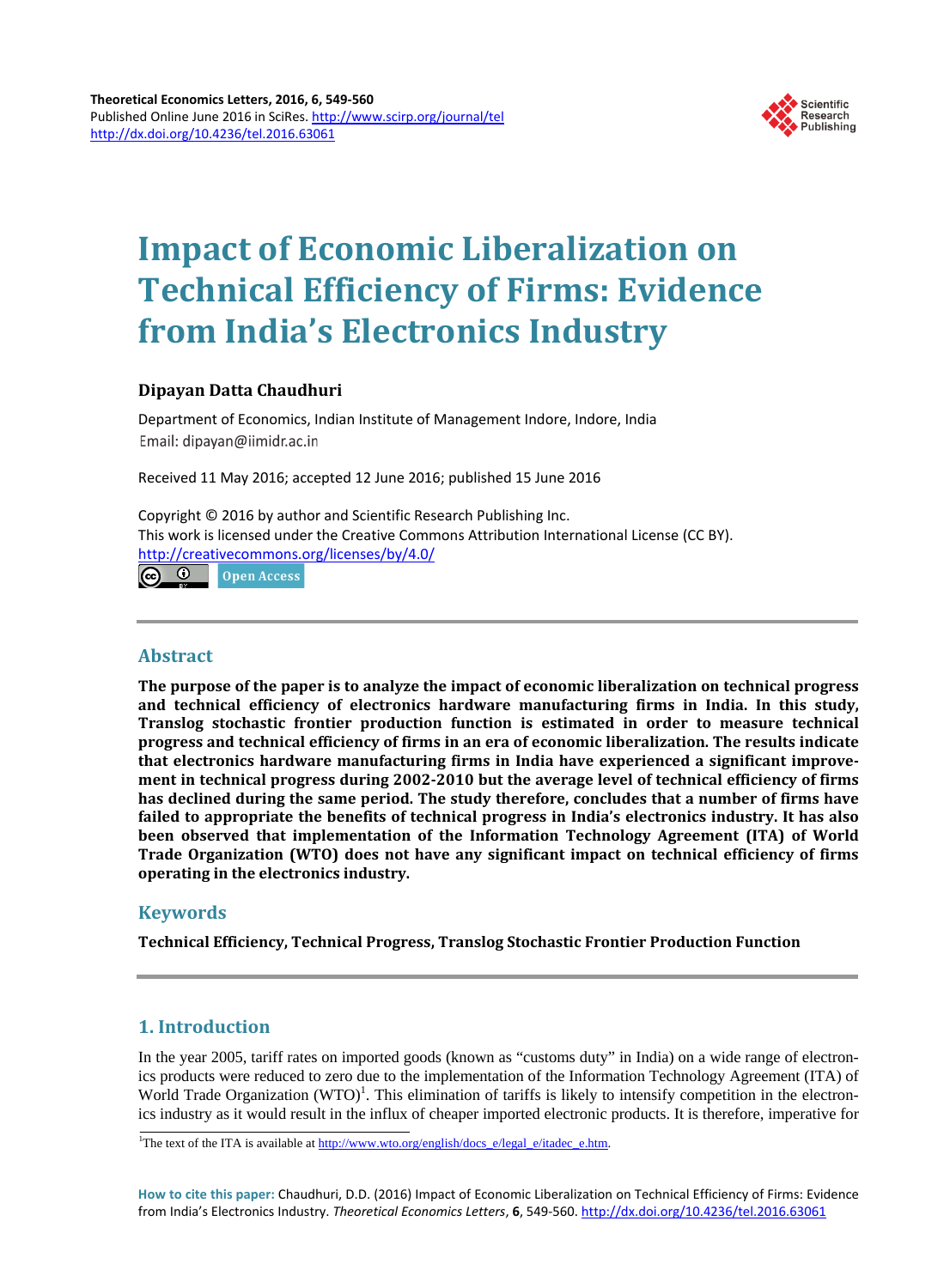

# **Impact of Economic Liberalization on Technical Efficiency of Firms: Evidence from India's Electronics Industry**

# **Dipayan Datta Chaudhuri**

Department of Economics, Indian Institute of Management Indore, Indore, India Email: dipayan@iimidr.ac.in

Received 11 May 2016; accepted 12 June 2016; published 15 June 2016

Copyright © 2016 by author and Scientific Research Publishing Inc. This work is licensed under the Creative Commons Attribution International License (CC BY). <http://creativecommons.org/licenses/by/4.0/>

 $\odot$   $\odot$ **Open Access** 

# **Abstract**

**The purpose of the paper is to analyze the impact of economic liberalization on technical progress and technical efficiency of electronics hardware manufacturing firms in India. In this study, Translog stochastic frontier production function is estimated in order to measure technical progress and technical efficiency of firms in an era of economic liberalization. The results indicate that electronics hardware manufacturing firms in India have experienced a significant improvement in technical progress during 2002-2010 but the average level of technical efficiency of firms has declined during the same period. The study therefore, concludes that a number of firms have failed to appropriate the benefits of technical progress in India's electronics industry. It has also been observed that implementation of the Information Technology Agreement (ITA) of World Trade Organization (WTO) does not have any significant impact on technical efficiency of firms operating in the electronics industry.**

# **Keywords**

**Technical Efficiency, Technical Progress, Translog Stochastic Frontier Production Function**

# **1. Introduction**

In the year 2005, tariff rates on imported goods (known as "customs duty" in India) on a wide range of electronics products were reduced to zero due to the implementation of the Information Technology Agreement (ITA) of World Trade Organization  $(WTO)^1$ . This elimination of tariffs is likely to intensify competition in the electronics industry as it would result in the influx of cheaper imported electronic products. It is therefore, imperative for

**How to cite this paper:** Chaudhuri, D.D. (2016) Impact of Economic Liberalization on Technical Efficiency of Firms: Evidence from India's Electronics Industry. *Theoretical Economics Letters*, **6**, 549-560. <http://dx.doi.org/10.4236/tel.2016.63061>

<sup>&</sup>lt;sup>1</sup>The text of the ITA is available at [http://www.wto.org/english/docs\\_e/legal\\_e/itadec\\_e.htm.](http://www.wto.org/english/docs_e/legal_e/itadec_e.htm)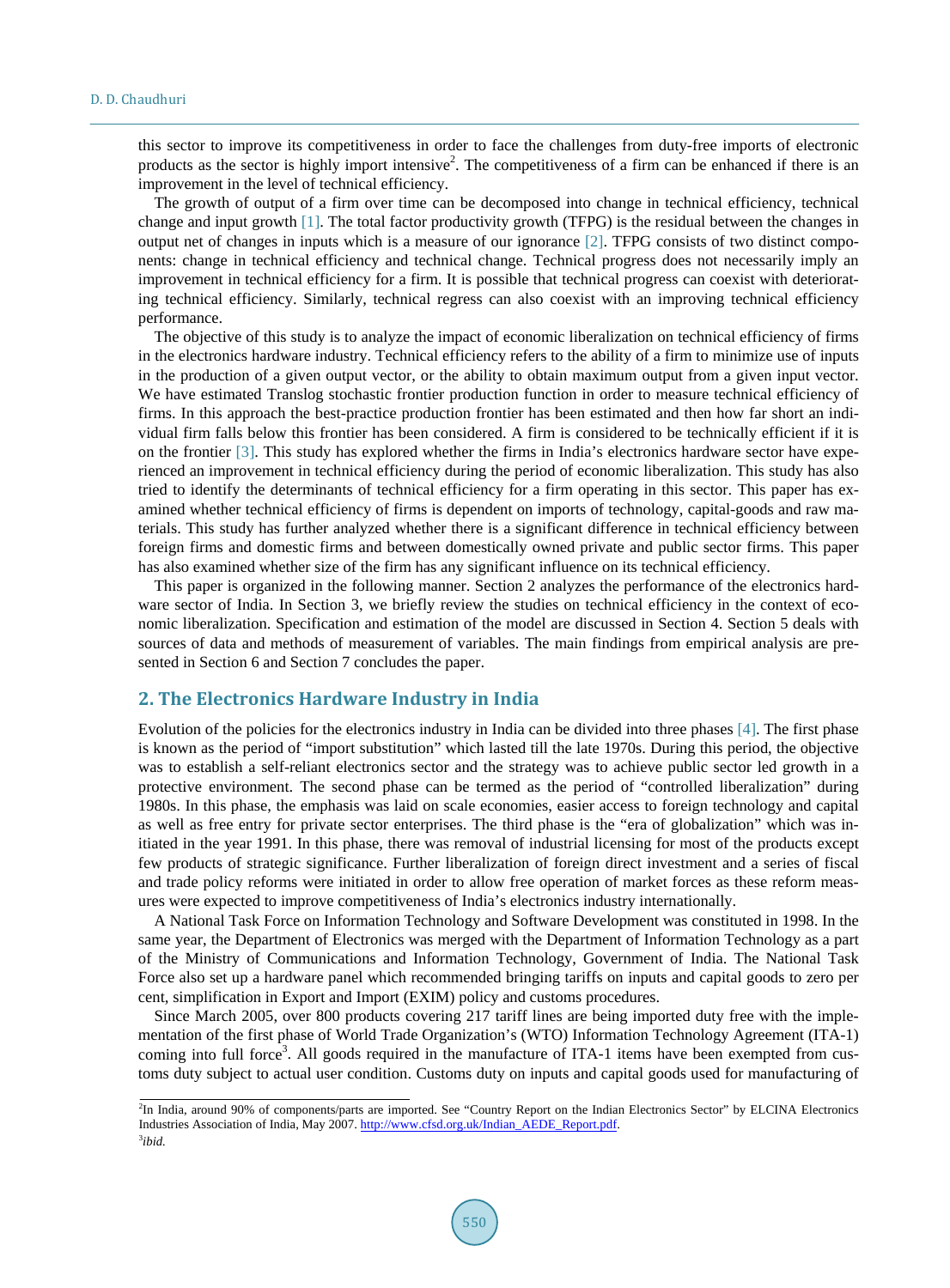this sector to improve its competitiveness in order to face the challenges from duty-free imports of electronic products as the sector is highly import intensive<sup>2</sup>. The competitiveness of a firm can be enhanced if there is an improvement in the level of technical efficiency.

The growth of output of a firm over time can be decomposed into change in technical efficiency, technical change and input growth [\[1\].](#page-8-0) The total factor productivity growth (TFPG) is the residual between the changes in output net of changes in inputs which is a measure of our ignorance [\[2\].](#page-8-1) TFPG consists of two distinct components: change in technical efficiency and technical change. Technical progress does not necessarily imply an improvement in technical efficiency for a firm. It is possible that technical progress can coexist with deteriorating technical efficiency. Similarly, technical regress can also coexist with an improving technical efficiency performance.

The objective of this study is to analyze the impact of economic liberalization on technical efficiency of firms in the electronics hardware industry. Technical efficiency refers to the ability of a firm to minimize use of inputs in the production of a given output vector, or the ability to obtain maximum output from a given input vector. We have estimated Translog stochastic frontier production function in order to measure technical efficiency of firms. In this approach the best-practice production frontier has been estimated and then how far short an individual firm falls below this frontier has been considered. A firm is considered to be technically efficient if it is on the frontier [\[3\].](#page-8-2) This study has explored whether the firms in India's electronics hardware sector have experienced an improvement in technical efficiency during the period of economic liberalization. This study has also tried to identify the determinants of technical efficiency for a firm operating in this sector. This paper has examined whether technical efficiency of firms is dependent on imports of technology, capital-goods and raw materials. This study has further analyzed whether there is a significant difference in technical efficiency between foreign firms and domestic firms and between domestically owned private and public sector firms. This paper has also examined whether size of the firm has any significant influence on its technical efficiency.

This paper is organized in the following manner. Section 2 analyzes the performance of the electronics hardware sector of India. In Section 3, we briefly review the studies on technical efficiency in the context of economic liberalization. Specification and estimation of the model are discussed in Section 4. Section 5 deals with sources of data and methods of measurement of variables. The main findings from empirical analysis are presented in Section 6 and Section 7 concludes the paper.

#### **2. The Electronics Hardware Industry in India**

Evolution of the policies for the electronics industry in India can be divided into three phases [\[4\].](#page-8-3) The first phase is known as the period of "import substitution" which lasted till the late 1970s. During this period, the objective was to establish a self-reliant electronics sector and the strategy was to achieve public sector led growth in a protective environment. The second phase can be termed as the period of "controlled liberalization" during 1980s. In this phase, the emphasis was laid on scale economies, easier access to foreign technology and capital as well as free entry for private sector enterprises. The third phase is the "era of globalization" which was initiated in the year 1991. In this phase, there was removal of industrial licensing for most of the products except few products of strategic significance. Further liberalization of foreign direct investment and a series of fiscal and trade policy reforms were initiated in order to allow free operation of market forces as these reform measures were expected to improve competitiveness of India's electronics industry internationally.

A National Task Force on Information Technology and Software Development was constituted in 1998. In the same year, the Department of Electronics was merged with the Department of Information Technology as a part of the Ministry of Communications and Information Technology, Government of India. The National Task Force also set up a hardware panel which recommended bringing tariffs on inputs and capital goods to zero per cent, simplification in Export and Import (EXIM) policy and customs procedures.

Since March 2005, over 800 products covering 217 tariff lines are being imported duty free with the implementation of the first phase of World Trade Organization's (WTO) Information Technology Agreement (ITA-1) coming into full force<sup>3</sup>. All goods required in the manufacture of ITA-1 items have been exempted from customs duty subject to actual user condition. Customs duty on inputs and capital goods used for manufacturing of

<sup>2</sup> In India, around 90% of components/parts are imported. See "Country Report on the Indian Electronics Sector" by ELCINA Electronics Industries Association of India, May 2007[. http://www.cfsd.org.uk/Indian\\_AEDE\\_Report.pdf.](http://www.cfsd.org.uk/Indian_AEDE_Report.pdf) 3 *ibid.*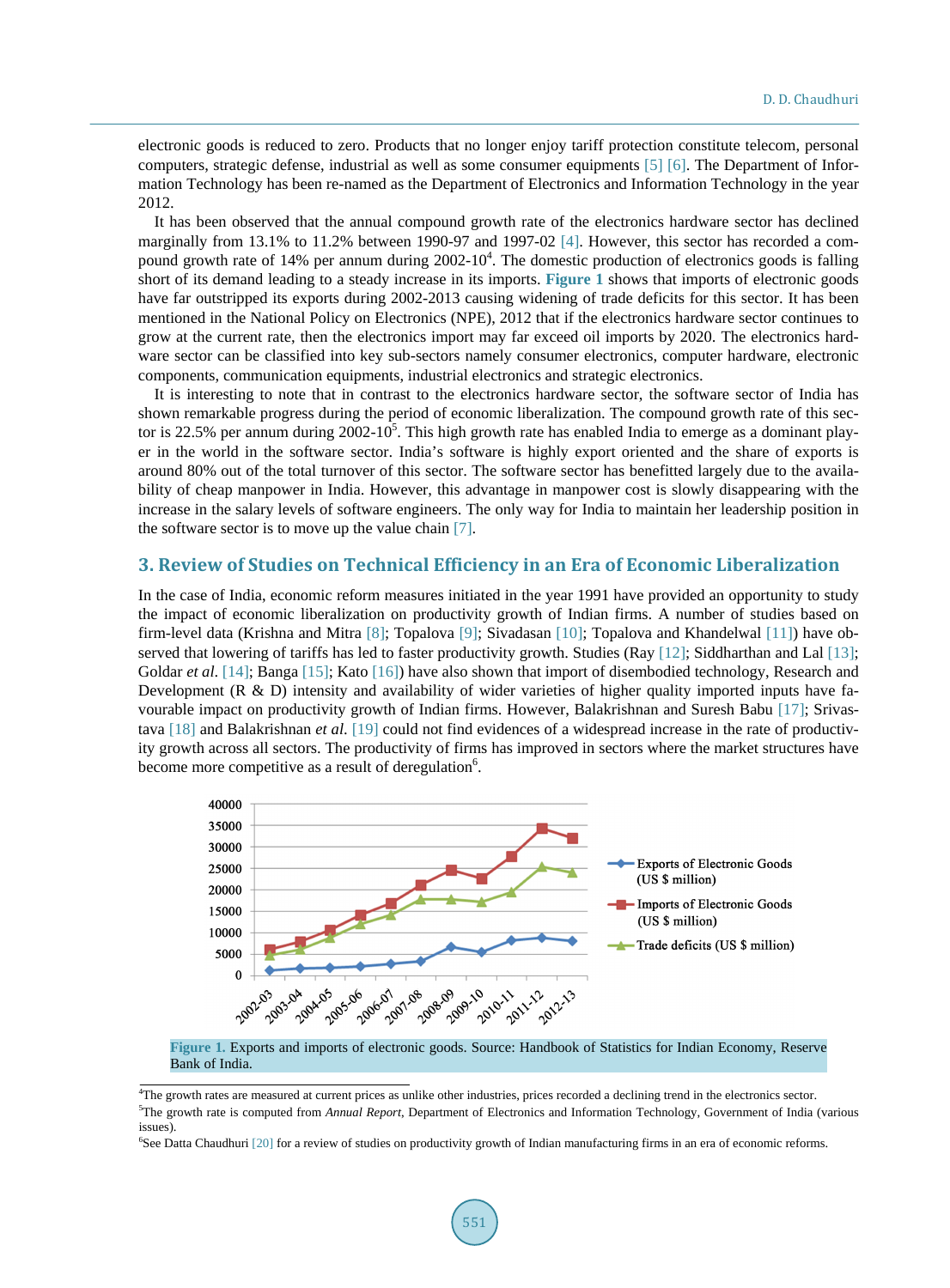electronic goods is reduced to zero. Products that no longer enjoy tariff protection constitute telecom, personal computers, strategic defense, industrial as well as some consumer equipments [\[5\]](#page-8-4) [\[6\].](#page-8-5) The Department of Information Technology has been re-named as the Department of Electronics and Information Technology in the year 2012.

It has been observed that the annual compound growth rate of the electronics hardware sector has declined marginally from 13.1% to 11.2% between 1990-97 and 1997-02 [\[4\].](#page-8-3) However, this sector has recorded a compound growth rate of 14% per annum during  $2002-10^4$ . The domestic production of electronics goods is falling short of its demand leading to a steady increase in its imports. **[Figure 1](#page-2-0)** shows that imports of electronic goods have far outstripped its exports during 2002-2013 causing widening of trade deficits for this sector. It has been mentioned in the National Policy on Electronics (NPE), 2012 that if the electronics hardware sector continues to grow at the current rate, then the electronics import may far exceed oil imports by 2020. The electronics hardware sector can be classified into key sub-sectors namely consumer electronics, computer hardware, electronic components, communication equipments, industrial electronics and strategic electronics.

It is interesting to note that in contrast to the electronics hardware sector, the software sector of India has shown remarkable progress during the period of economic liberalization. The compound growth rate of this sector is 22.5% per annum during 2002-10<sup>5</sup>. This high growth rate has enabled India to emerge as a dominant player in the world in the software sector. India's software is highly export oriented and the share of exports is around 80% out of the total turnover of this sector. The software sector has benefitted largely due to the availability of cheap manpower in India. However, this advantage in manpower cost is slowly disappearing with the increase in the salary levels of software engineers. The only way for India to maintain her leadership position in the software sector is to move up the value chain [\[7\].](#page-8-6)

#### **3. Review of Studies on Technical Efficiency in an Era of Economic Liberalization**

In the case of India, economic reform measures initiated in the year 1991 have provided an opportunity to study the impact of economic liberalization on productivity growth of Indian firms. A number of studies based on firm-level data (Krishna and Mitra [\[8\];](#page-8-7) Topalova [\[9\];](#page-8-8) Sivadasan [\[10\];](#page-8-9) Topalova and Khandelwal [\[11\]\)](#page-8-10) have observed that lowering of tariffs has led to faster productivity growth. Studies (Ray [\[12\];](#page-8-11) Siddharthan and Lal [\[13\];](#page-9-0) Goldar *et al.* [\[14\];](#page-9-1) Banga [\[15\];](#page-9-2) Kato [\[16\]\)](#page-9-3) have also shown that import of disembodied technology, Research and Development (R & D) intensity and availability of wider varieties of higher quality imported inputs have favourable impact on productivity growth of Indian firms. However, Balakrishnan and Suresh Babu [\[17\];](#page-9-4) Srivastava [\[18\]](#page-9-5) and Balakrishnan *et al*. [\[19\]](#page-9-6) could not find evidences of a widespread increase in the rate of productivity growth across all sectors. The productivity of firms has improved in sectors where the market structures have become more competitive as a result of deregulation<sup>6</sup>.

<span id="page-2-0"></span>

**Figure 1.** Exports and imports of electronic goods. Source: Handbook of Statistics for Indian Economy, Reserve Bank of India.

<sup>4</sup> The growth rates are measured at current prices as unlike other industries, prices recorded a declining trend in the electronics sector. 5 The growth rate is computed from *Annual Report*, Department of Electronics and Information Technology, Government of India (various issues).

<sup>6</sup> See Datta Chaudhuri [\[20\]](#page-9-7) for a review of studies on productivity growth of Indian manufacturing firms in an era of economic reforms.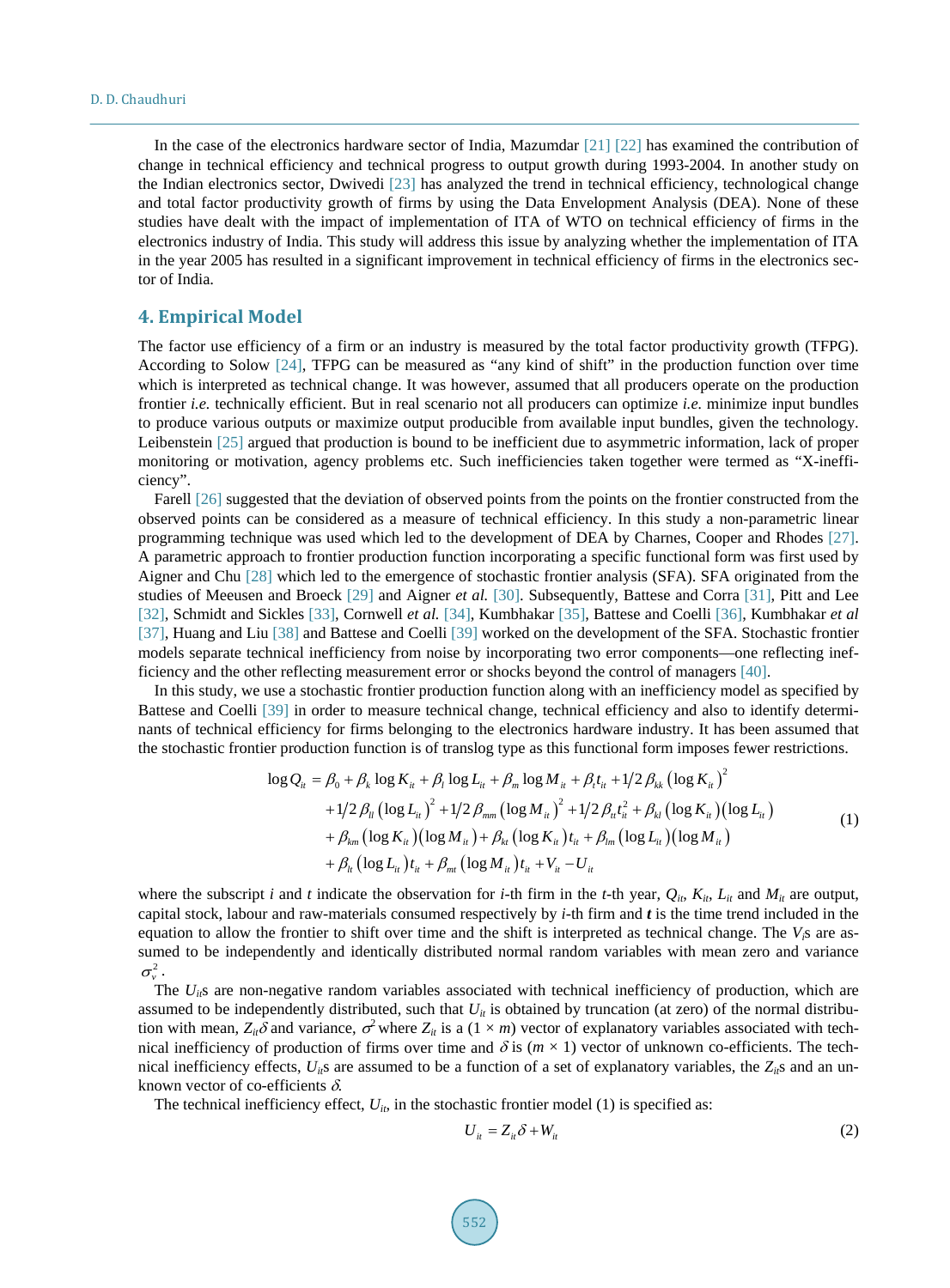In the case of the electronics hardware sector of India, Mazumdar [\[21\]](#page-9-8) [\[22\]](#page-9-9) has examined the contribution of change in technical efficiency and technical progress to output growth during 1993-2004. In another study on the Indian electronics sector, Dwivedi [\[23\]](#page-9-10) has analyzed the trend in technical efficiency, technological change and total factor productivity growth of firms by using the Data Envelopment Analysis (DEA). None of these studies have dealt with the impact of implementation of ITA of WTO on technical efficiency of firms in the electronics industry of India. This study will address this issue by analyzing whether the implementation of ITA in the year 2005 has resulted in a significant improvement in technical efficiency of firms in the electronics sector of India.

#### **4. Empirical Model**

The factor use efficiency of a firm or an industry is measured by the total factor productivity growth (TFPG). According to Solow [\[24\],](#page-9-11) TFPG can be measured as "any kind of shift" in the production function over time which is interpreted as technical change. It was however, assumed that all producers operate on the production frontier *i.e.* technically efficient. But in real scenario not all producers can optimize *i.e.* minimize input bundles to produce various outputs or maximize output producible from available input bundles, given the technology. Leibenstein [\[25\]](#page-9-12) argued that production is bound to be inefficient due to asymmetric information, lack of proper monitoring or motivation, agency problems etc. Such inefficiencies taken together were termed as "X-inefficiency".

Farel[l \[26\]](#page-9-13) suggested that the deviation of observed points from the points on the frontier constructed from the observed points can be considered as a measure of technical efficiency. In this study a non-parametric linear programming technique was used which led to the development of DEA by Charnes, Cooper and Rhodes [\[27\].](#page-9-14) A parametric approach to frontier production function incorporating a specific functional form was first used by Aigner and Chu [\[28\]](#page-9-15) which led to the emergence of stochastic frontier analysis (SFA). SFA originated from the studies of Meeusen and Broeck [\[29\]](#page-9-16) and Aigner *et al.* [\[30\].](#page-9-17) Subsequently, Battese and Corra [\[31\],](#page-9-18) Pitt and Lee [\[32\],](#page-9-19) Schmidt and Sickles [\[33\],](#page-9-20) Cornwell *et al.* [\[34\],](#page-9-21) Kumbhakar [\[35\],](#page-9-22) Battese and Coelli [\[36\],](#page-9-23) Kumbhakar *et al*  [\[37\],](#page-9-24) Huang and Liu [\[38\]](#page-10-0) and Battese and Coelli [\[39\]](#page-10-1) worked on the development of the SFA. Stochastic frontier models separate technical inefficiency from noise by incorporating two error components—one reflecting inefficiency and the other reflecting measurement error or shocks beyond the control of managers [\[40\].](#page-10-2)

In this study, we use a stochastic frontier production function along with an inefficiency model as specified by Battese and Coelli [\[39\]](#page-10-1) in order to measure technical change, technical efficiency and also to identify determinants of technical efficiency for firms belonging to the electronics hardware industry. It has been assumed that the stochastic frontier production function is of translog type as this functional form imposes fewer restrictions.

$$
\log Q_{it} = \beta_0 + \beta_k \log K_{it} + \beta_l \log L_{it} + \beta_m \log M_{it} + \beta_l t_{it} + 1/2 \beta_{kk} (\log K_{it})^2 + 1/2 \beta_l (\log L_{it})^2 + 1/2 \beta_{mm} (\log M_{it})^2 + 1/2 \beta_{it} t_{it}^2 + \beta_{kl} (\log K_{it}) (\log L_{it}) + \beta_{km} (\log K_{it}) (\log M_{it}) + \beta_{kt} (\log K_{it}) t_{it} + \beta_{lm} (\log L_{it}) (\log M_{it}) + \beta_{lt} (\log L_{it}) t_{it} + \beta_{mt} (\log M_{it}) t_{it} + V_{it} - U_{it}
$$
\n(1)

where the subscript *i* and *t* indicate the observation for *i*-th firm in the *t*-th year,  $Q_{ii}$ ,  $K_{ii}$ ,  $L_{ii}$  and  $M_{ii}$  are output, capital stock, labour and raw-materials consumed respectively by *i*-th firm and *t* is the time trend included in the equation to allow the frontier to shift over time and the shift is interpreted as technical change. The  $V_i$ s are assumed to be independently and identically distributed normal random variables with mean zero and variance  $\sigma_v^2$ .

The *U<sub>it</sub>*s are non-negative random variables associated with technical inefficiency of production, which are assumed to be independently distributed, such that  $U_{it}$  is obtained by truncation (at zero) of the normal distribution with mean,  $Z_{ii}\delta$  and variance,  $\sigma^2$  where  $Z_{ii}$  is a (1 × *m*) vector of explanatory variables associated with technical inefficiency of production of firms over time and  $\delta$  is  $(m \times 1)$  vector of unknown co-efficients. The technical inefficiency effects,  $U_{i}$ s are assumed to be a function of a set of explanatory variables, the  $Z_{i}$ s and an unknown vector of co-efficients  $\delta$ .

The technical inefficiency effect,  $U_{it}$ , in the stochastic frontier model (1) is specified as:

$$
U_{it} = Z_{it} \delta + W_{it} \tag{2}
$$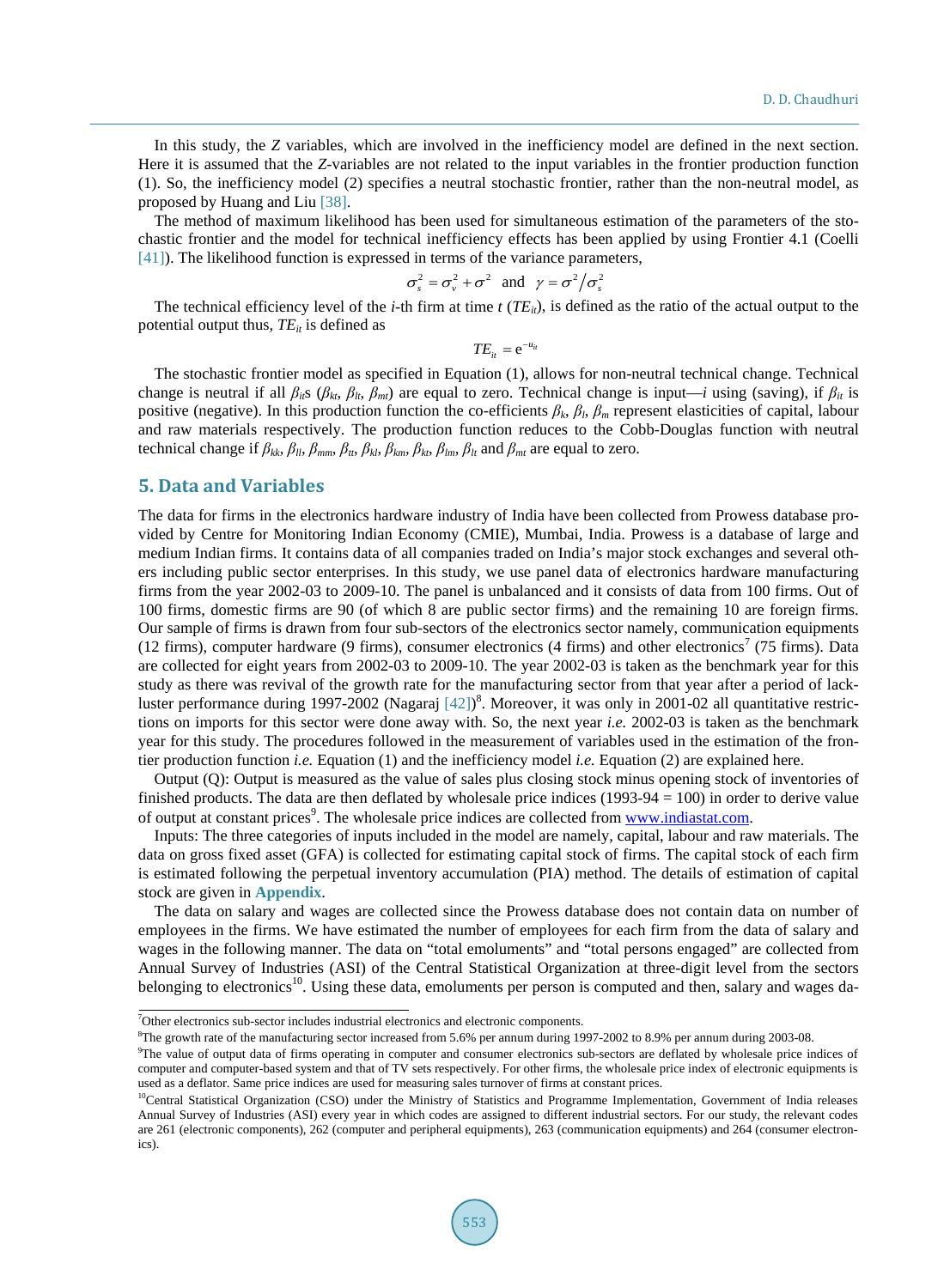In this study, the *Z* variables, which are involved in the inefficiency model are defined in the next section. Here it is assumed that the *Z*-variables are not related to the input variables in the frontier production function (1). So, the inefficiency model (2) specifies a neutral stochastic frontier, rather than the non-neutral model, as proposed by Huang and Liu [\[38\].](#page-10-0)

The method of maximum likelihood has been used for simultaneous estimation of the parameters of the stochastic frontier and the model for technical inefficiency effects has been applied by using Frontier 4.1 (Coelli [\[41\]\)](#page-10-3). The likelihood function is expressed in terms of the variance parameters,

$$
\sigma_s^2 = \sigma_v^2 + \sigma^2
$$
 and  $\gamma = \sigma^2 / \sigma_s^2$ 

The technical efficiency level of the *i*-th firm at time  $t$  ( $TE<sub>ii</sub>$ ), is defined as the ratio of the actual output to the potential output thus,  $TE_{it}$  is defined as

$$
TE_{it} = e^{-u_{it}}
$$

The stochastic frontier model as specified in Equation (1), allows for non-neutral technical change. Technical change is neutral if all  $\beta_{ii}$ s ( $\beta_{ki}$ ,  $\beta_{j}$ ,  $\beta_{mi}$ ) are equal to zero. Technical change is input—*i* using (saving), if  $\beta_{ii}$  is positive (negative). In this production function the co-efficients  $\beta_k$ ,  $\beta_l$ ,  $\beta_m$  represent elasticities of capital, labour and raw materials respectively. The production function reduces to the Cobb-Douglas function with neutral technical change if  $\beta_{kk}$ ,  $\beta_{ll}$ ,  $\beta_{mm}$ ,  $\beta_{tt}$ ,  $\beta_{kl}$ ,  $\beta_{km}$ ,  $\beta_{kt}$ ,  $\beta_{lm}$ ,  $\beta_{lt}$  and  $\beta_{mt}$  are equal to zero.

### **5. Data and Variables**

The data for firms in the electronics hardware industry of India have been collected from Prowess database provided by Centre for Monitoring Indian Economy (CMIE), Mumbai, India. Prowess is a database of large and medium Indian firms. It contains data of all companies traded on India's major stock exchanges and several others including public sector enterprises. In this study, we use panel data of electronics hardware manufacturing firms from the year 2002-03 to 2009-10. The panel is unbalanced and it consists of data from 100 firms. Out of 100 firms, domestic firms are 90 (of which 8 are public sector firms) and the remaining 10 are foreign firms. Our sample of firms is drawn from four sub-sectors of the electronics sector namely, communication equipments (12 firms), computer hardware (9 firms), consumer electronics (4 firms) and other electronics<sup>7</sup> (75 firms). Data are collected for eight years from 2002-03 to 2009-10. The year 2002-03 is taken as the benchmark year for this study as there was revival of the growth rate for the manufacturing sector from that year after a period of lackluster performance during 1997-2002 (Nagaraj  $[42]$ <sup>8</sup>. Moreover, it was only in 2001-02 all quantitative restrictions on imports for this sector were done away with. So, the next year *i.e.* 2002-03 is taken as the benchmark year for this study. The procedures followed in the measurement of variables used in the estimation of the frontier production function *i.e.* Equation (1) and the inefficiency model *i.e.* Equation (2) are explained here.

Output (Q): Output is measured as the value of sales plus closing stock minus opening stock of inventories of finished products. The data are then deflated by wholesale price indices (1993-94 = 100) in order to derive value of output at constant prices<sup>9</sup>. The wholesale price indices are collected from [www.indiastat.com.](http://www.indiastat.com/)

Inputs: The three categories of inputs included in the model are namely, capital, labour and raw materials. The data on gross fixed asset (GFA) is collected for estimating capital stock of firms. The capital stock of each firm is estimated following the perpetual inventory accumulation (PIA) method. The details of estimation of capital stock are given in **[Appendix](#page-11-0)**.

The data on salary and wages are collected since the Prowess database does not contain data on number of employees in the firms. We have estimated the number of employees for each firm from the data of salary and wages in the following manner. The data on "total emoluments" and "total persons engaged" are collected from Annual Survey of Industries (ASI) of the Central Statistical Organization at three-digit level from the sectors belonging to electronics<sup>10</sup>. Using these data, emoluments per person is computed and then, salary and wages da-

8 The growth rate of the manufacturing sector increased from 5.6% per annum during 1997-2002 to 8.9% per annum during 2003-08.

<sup>&</sup>lt;sup>7</sup>Other electronics sub-sector includes industrial electronics and electronic components.

<sup>9</sup> The value of output data of firms operating in computer and consumer electronics sub-sectors are deflated by wholesale price indices of computer and computer-based system and that of TV sets respectively. For other firms, the wholesale price index of electronic equipments is used as a deflator. Same price indices are used for measuring sales turnover of firms at constant prices.

<sup>&</sup>lt;sup>10</sup>Central Statistical Organization (CSO) under the Ministry of Statistics and Programme Implementation, Government of India releases Annual Survey of Industries (ASI) every year in which codes are assigned to different industrial sectors. For our study, the relevant codes are 261 (electronic components), 262 (computer and peripheral equipments), 263 (communication equipments) and 264 (consumer electronics).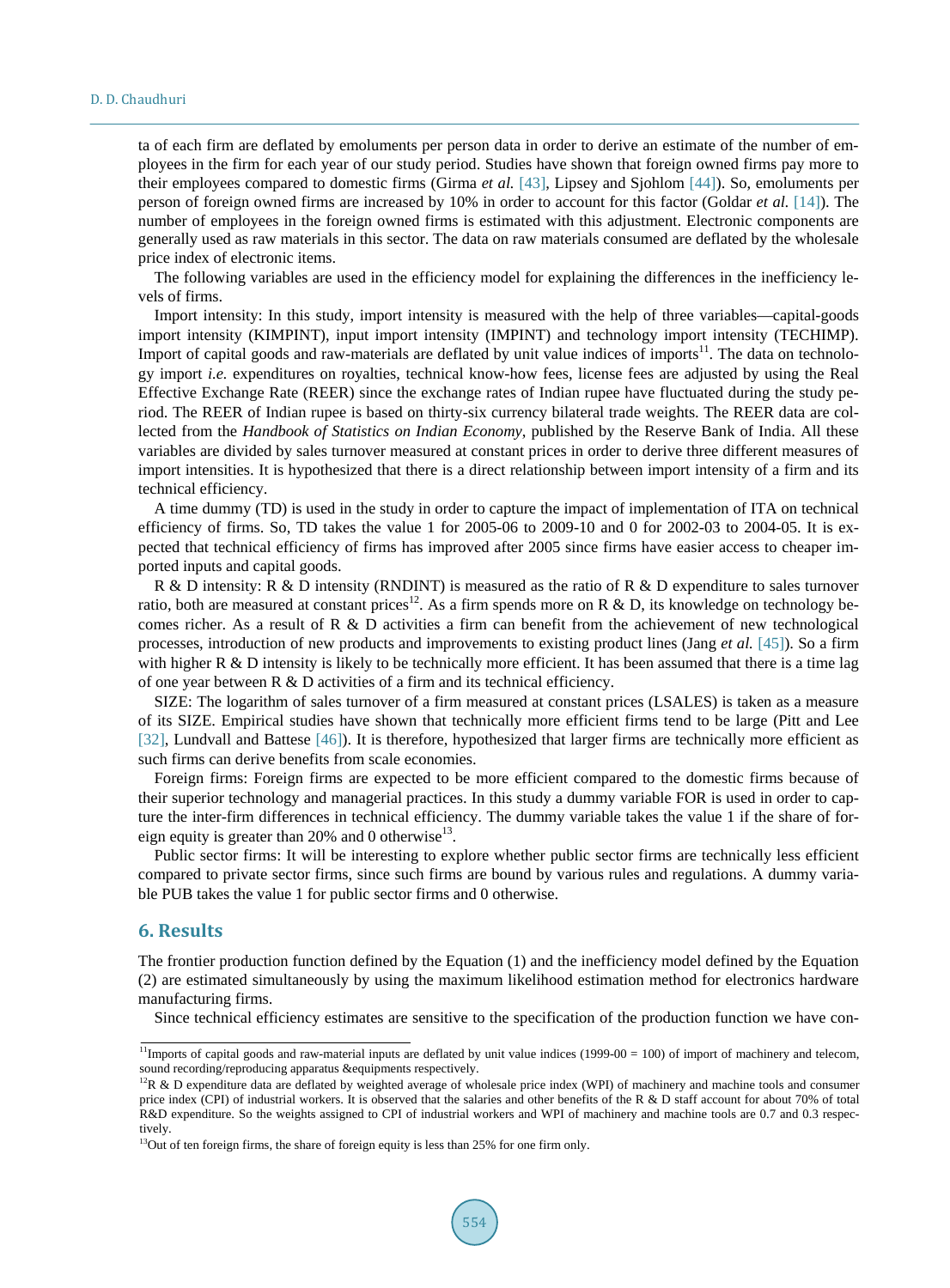#### D. D. Chaudhuri

ta of each firm are deflated by emoluments per person data in order to derive an estimate of the number of employees in the firm for each year of our study period. Studies have shown that foreign owned firms pay more to their employees compared to domestic firms (Girma *et al.* [\[43\],](#page-10-5) Lipsey and Sjohlom [\[44\]\)](#page-10-6). So, emoluments per person of foreign owned firms are increased by 10% in order to account for this factor (Goldar *et al.* [\[14\]\)](#page-9-1). The number of employees in the foreign owned firms is estimated with this adjustment. Electronic components are generally used as raw materials in this sector. The data on raw materials consumed are deflated by the wholesale price index of electronic items.

The following variables are used in the efficiency model for explaining the differences in the inefficiency levels of firms.

Import intensity: In this study, import intensity is measured with the help of three variables—capital-goods import intensity (KIMPINT), input import intensity (IMPINT) and technology import intensity (TECHIMP). Import of capital goods and raw-materials are deflated by unit value indices of imports<sup>11</sup>. The data on technology import *i.e.* expenditures on royalties, technical know-how fees, license fees are adjusted by using the Real Effective Exchange Rate (REER) since the exchange rates of Indian rupee have fluctuated during the study period. The REER of Indian rupee is based on thirty-six currency bilateral trade weights. The REER data are collected from the *Handbook of Statistics on Indian Economy*, published by the Reserve Bank of India. All these variables are divided by sales turnover measured at constant prices in order to derive three different measures of import intensities. It is hypothesized that there is a direct relationship between import intensity of a firm and its technical efficiency.

A time dummy (TD) is used in the study in order to capture the impact of implementation of ITA on technical efficiency of firms. So, TD takes the value 1 for 2005-06 to 2009-10 and 0 for 2002-03 to 2004-05. It is expected that technical efficiency of firms has improved after 2005 since firms have easier access to cheaper imported inputs and capital goods.

R & D intensity: R & D intensity (RNDINT) is measured as the ratio of R & D expenditure to sales turnover ratio, both are measured at constant prices<sup>12</sup>. As a firm spends more on R & D, its knowledge on technology becomes richer. As a result of R  $\&$  D activities a firm can benefit from the achievement of new technological processes, introduction of new products and improvements to existing product lines (Jang *et al.* [\[45\]\)](#page-10-7). So a firm with higher R & D intensity is likely to be technically more efficient. It has been assumed that there is a time lag of one year between R & D activities of a firm and its technical efficiency.

SIZE: The logarithm of sales turnover of a firm measured at constant prices (LSALES) is taken as a measure of its SIZE. Empirical studies have shown that technically more efficient firms tend to be large (Pitt and Lee [\[32\],](#page-9-19) Lundvall and Battese [\[46\]\)](#page-10-8). It is therefore, hypothesized that larger firms are technically more efficient as such firms can derive benefits from scale economies.

Foreign firms: Foreign firms are expected to be more efficient compared to the domestic firms because of their superior technology and managerial practices. In this study a dummy variable FOR is used in order to capture the inter-firm differences in technical efficiency. The dummy variable takes the value 1 if the share of foreign equity is greater than 20% and 0 otherwise<sup>13</sup>.

Public sector firms: It will be interesting to explore whether public sector firms are technically less efficient compared to private sector firms, since such firms are bound by various rules and regulations. A dummy variable PUB takes the value 1 for public sector firms and 0 otherwise.

#### **6. Results**

The frontier production function defined by the Equation (1) and the inefficiency model defined by the Equation (2) are estimated simultaneously by using the maximum likelihood estimation method for electronics hardware manufacturing firms.

Since technical efficiency estimates are sensitive to the specification of the production function we have con-

<sup>&</sup>lt;sup>11</sup>Imports of capital goods and raw-material inputs are deflated by unit value indices (1999-00 = 100) of import of machinery and telecom, sound recording/reproducing apparatus &equipments respectively.

 $12R$  & D expenditure data are deflated by weighted average of wholesale price index (WPI) of machinery and machine tools and consumer price index (CPI) of industrial workers. It is observed that the salaries and other benefits of the R & D staff account for about 70% of total R&D expenditure. So the weights assigned to CPI of industrial workers and WPI of machinery and machine tools are 0.7 and 0.3 respectively.

 $13$ Out of ten foreign firms, the share of foreign equity is less than 25% for one firm only.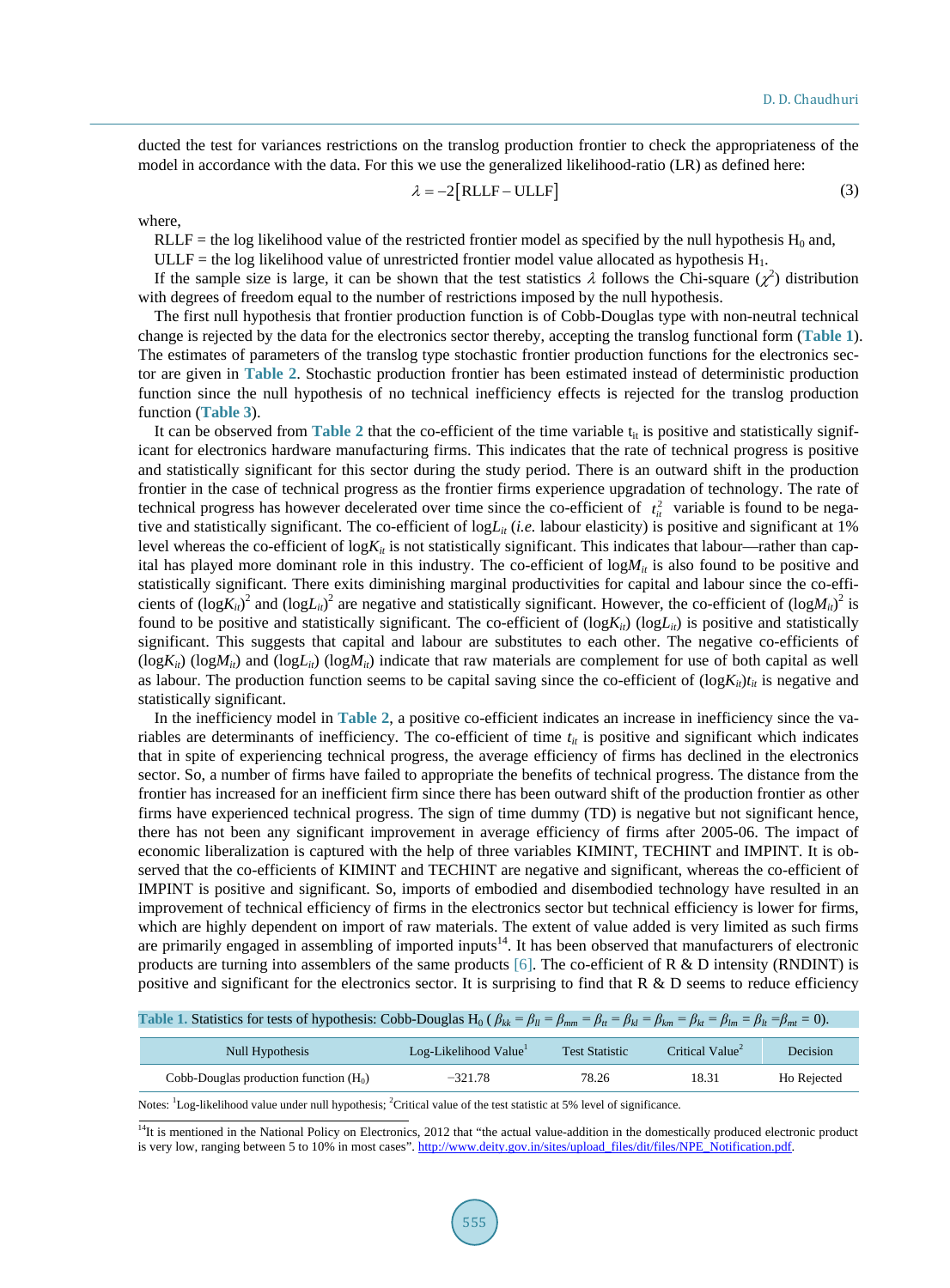ducted the test for variances restrictions on the translog production frontier to check the appropriateness of the model in accordance with the data. For this we use the generalized likelihood-ratio (LR) as defined here:

$$
\lambda = -2[RLLF - ULLF]
$$
 (3)

where,

RLLF = the log likelihood value of the restricted frontier model as specified by the null hypothesis  $H_0$  and,

ULLF = the log likelihood value of unrestricted frontier model value allocated as hypothesis  $H_1$ .

If the sample size is large, it can be shown that the test statistics  $\lambda$  follows the Chi-square  $(\chi^2)$  distribution with degrees of freedom equal to the number of restrictions imposed by the null hypothesis.

The first null hypothesis that frontier production function is of Cobb-Douglas type with non-neutral technical change is rejected by the data for the electronics sector thereby, accepting the translog functional form (**[Table 1](#page-6-0)**). The estimates of parameters of the translog type stochastic frontier production functions for the electronics sector are given in **[Table 2](#page-7-0)**. Stochastic production frontier has been estimated instead of deterministic production function since the null hypothesis of no technical inefficiency effects is rejected for the translog production function (**[Table 3](#page-7-1)**).

It can be observed from **[Table 2](#page-7-0)** that the co-efficient of the time variable  $t_{it}$  is positive and statistically significant for electronics hardware manufacturing firms. This indicates that the rate of technical progress is positive and statistically significant for this sector during the study period. There is an outward shift in the production frontier in the case of technical progress as the frontier firms experience upgradation of technology. The rate of technical progress has however decelerated over time since the co-efficient of  $t<sub>i</sub><sup>2</sup>$  variable is found to be negative and statistically significant. The co-efficient of logL<sub>it</sub> (*i.e.* labour elasticity) is positive and significant at 1% level whereas the co-efficient of  $log K_{it}$  is not statistically significant. This indicates that labour—rather than capital has played more dominant role in this industry. The co-efficient of  $\log M_{ii}$  is also found to be positive and statistically significant. There exits diminishing marginal productivities for capital and labour since the co-efficients of  $(log K_{it})^2$  and  $(log L_{it})^2$  are negative and statistically significant. However, the co-efficient of  $(log M_{it})^2$  is found to be positive and statistically significant. The co-efficient of  $(\log K_{ii})$  ( $\log L_{ii}$ ) is positive and statistically significant. This suggests that capital and labour are substitutes to each other. The negative co-efficients of  $(log K_{ii})$  (log $M_{ii}$ ) and (log $L_{ii}$ ) (log $M_{ii}$ ) indicate that raw materials are complement for use of both capital as well as labour. The production function seems to be capital saving since the co-efficient of  $(\log K_{ii})t_{ii}$  is negative and statistically significant.

In the inefficiency model in **[Table 2](#page-7-0)**, a positive co-efficient indicates an increase in inefficiency since the variables are determinants of inefficiency. The co-efficient of time  $t_{it}$  is positive and significant which indicates that in spite of experiencing technical progress, the average efficiency of firms has declined in the electronics sector. So, a number of firms have failed to appropriate the benefits of technical progress. The distance from the frontier has increased for an inefficient firm since there has been outward shift of the production frontier as other firms have experienced technical progress. The sign of time dummy (TD) is negative but not significant hence, there has not been any significant improvement in average efficiency of firms after 2005-06. The impact of economic liberalization is captured with the help of three variables KIMINT, TECHINT and IMPINT. It is observed that the co-efficients of KIMINT and TECHINT are negative and significant, whereas the co-efficient of IMPINT is positive and significant. So, imports of embodied and disembodied technology have resulted in an improvement of technical efficiency of firms in the electronics sector but technical efficiency is lower for firms, which are highly dependent on import of raw materials. The extent of value added is very limited as such firms are primarily engaged in assembling of imported inputs<sup>14</sup>. It has been observed that manufacturers of electronic products are turning into assemblers of the same products [\[6\].](#page-8-5) The co-efficient of R  $\&$  D intensity (RNDINT) is positive and significant for the electronics sector. It is surprising to find that  $R \& D$  seems to reduce efficiency

<span id="page-6-0"></span>

| Table 1. Statistics for tests of hypothesis: Cobb-Douglas H <sub>0</sub> ( $\beta_{kk} = \beta_{ll} = \beta_{mm} = \beta_{kl} = \beta_{km} = \beta_{kl} = \beta_{km} = \beta_{hl} = \beta_{lm} = \beta_{hl} = \beta_{ml} = 0$ ). |                      |                                                                        |                 |
|----------------------------------------------------------------------------------------------------------------------------------------------------------------------------------------------------------------------------------|----------------------|------------------------------------------------------------------------|-----------------|
|                                                                                                                                                                                                                                  |                      |                                                                        |                 |
| Null Hypothesis                                                                                                                                                                                                                  | Log Likelihood Value | $\frac{1}{2}$ Test Statistic $\frac{1}{2}$ Critical Value <sup>2</sup> | $\sum_{\alpha}$ |

| Null Hypothesis                          | Log-Likelihood Value | <b>Test Statistic</b> | Critical Value <sup>2</sup> | <b>Decision</b> |  |
|------------------------------------------|----------------------|-----------------------|-----------------------------|-----------------|--|
| Cobb-Douglas production function $(H_0)$ | $-321.78$            | 78.26                 | 18.31                       | Ho Rejected     |  |

Notes: <sup>1</sup>Log-likelihood value under null hypothesis; <sup>2</sup>Critical value of the test statistic at 5% level of significance.

<sup>&</sup>lt;sup>14</sup>It is mentioned in the National Policy on Electronics, 2012 that "the actual value-addition in the domestically produced electronic product is very low, ranging between 5 to 10% in most cases"[. http://www.deity.gov.in/sites/upload\\_files/dit/files/NPE\\_Notification.pdf.](http://www.deity.gov.in/sites/upload_files/dit/files/NPE_Notification.pdf)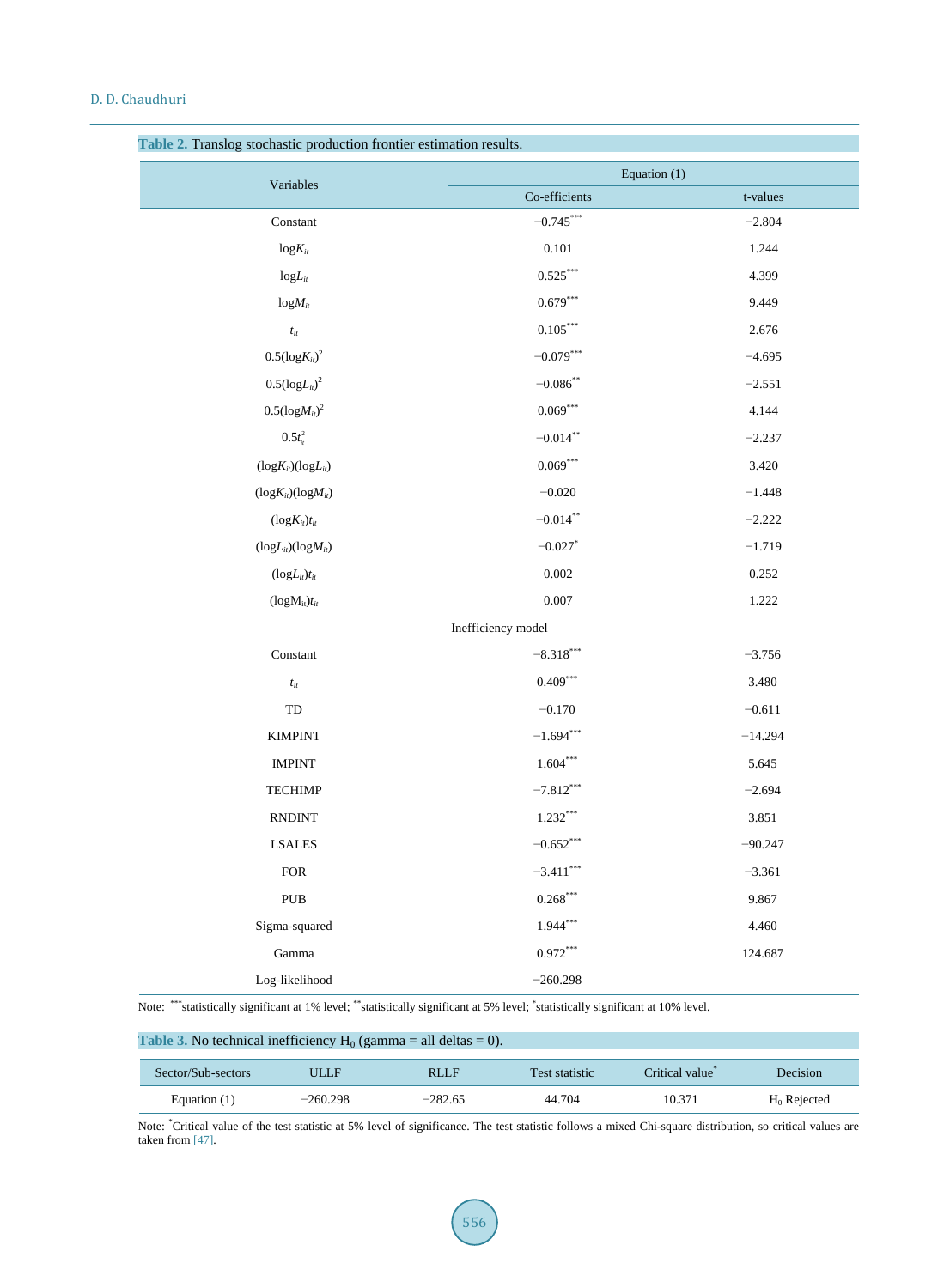|                               | Equation (1)        |           |  |  |
|-------------------------------|---------------------|-----------|--|--|
| Variables                     | Co-efficients       | t-values  |  |  |
| Constant                      | $-0.745***$         | $-2.804$  |  |  |
| $log K_{it}$                  | $0.101\,$           | 1.244     |  |  |
| $logL_{it}$                   | $0.525***$          | 4.399     |  |  |
| $logM_{it}$                   | $0.679***$          | 9.449     |  |  |
| $t_{it}$                      | $0.105***$          | 2.676     |  |  |
| $0.5(\log K_{it})^2$          | $-0.079***$         | $-4.695$  |  |  |
| $0.5(\log L_{it})^2$          | $-0.086$ **         | $-2.551$  |  |  |
| $0.5(\log M_{it})^2$          | $0.069***$<br>4.144 |           |  |  |
| $0.5t_{ii}^2$                 | $-0.014$ **         | $-2.237$  |  |  |
| $(log K_{it}) (log L_{it})$   | $0.069***$          | 3.420     |  |  |
| $(log K_{it}) (log M_{it})$   | $-0.020$            | $-1.448$  |  |  |
| $(log K_{it})t_{it}$          | $-0.014***$         | $-2.222$  |  |  |
| $(logL_{it})(logM_{it})$      | $-0.027$ *          | $-1.719$  |  |  |
| $(logL_{it})t_{it}$           | 0.002               | 0.252     |  |  |
| $(logM_{it})$ t <sub>it</sub> | 0.007               | 1.222     |  |  |
|                               | Inefficiency model  |           |  |  |
| Constant                      | $-8.318***$         | $-3.756$  |  |  |
| $t_{it}$                      | $0.409***$          | 3.480     |  |  |
| TD                            | $-0.170$            | $-0.611$  |  |  |
| <b>KIMPINT</b>                | $-1.694***$         | $-14.294$ |  |  |
| <b>IMPINT</b>                 | $1.604***$          | 5.645     |  |  |
| <b>TECHIMP</b>                | $-7.812***$         | $-2.694$  |  |  |
| <b>RNDINT</b>                 | $1.232***$          | 3.851     |  |  |
| <b>LSALES</b>                 | $-0.652***$         | $-90.247$ |  |  |
| ${\rm FOR}$                   | $-3.411***$         | $-3.361$  |  |  |
| PUB                           | $0.268***$          | 9.867     |  |  |
| Sigma-squared                 | $1.944***$          | 4.460     |  |  |
| Gamma                         | $0.972***$          | 124.687   |  |  |
| Log-likelihood                | $-260.298$          |           |  |  |

<span id="page-7-0"></span>**Table 2.** Translog stochastic production frontier estimation results.

Note: \*\*\*statistically significant at 1% level; \*\*statistically significant at 5% level; \* statistically significant at 10% level.

<span id="page-7-1"></span>

| Table 3. No technical inefficiency $H_0$ (gamma = all deltas = 0). |            |             |                |                |                |  |
|--------------------------------------------------------------------|------------|-------------|----------------|----------------|----------------|--|
| Sector/Sub-sectors                                                 | ULLF       | <b>RLLF</b> | Test statistic | Critical value | Decision       |  |
| Equation $(1)$                                                     | $-260.298$ | $-282.65$   | 44.704         | 10.371         | $H_0$ Rejected |  |

Note: "Critical value of the test statistic at 5% level of significance. The test statistic follows a mixed Chi-square distribution, so critical values are taken from [\[47\].](#page-10-9)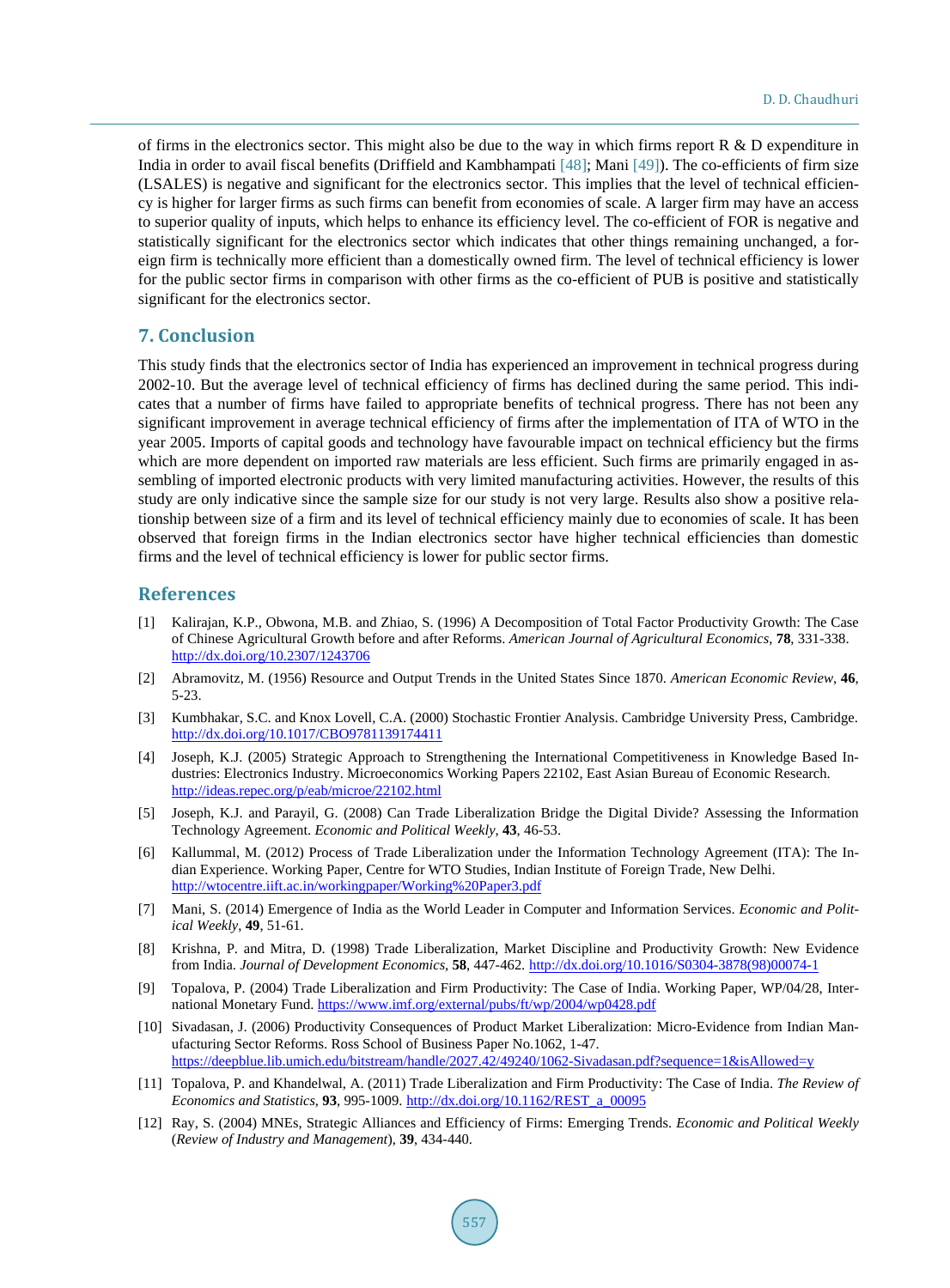of firms in the electronics sector. This might also be due to the way in which firms report  $R \& D$  expenditure in India in order to avail fiscal benefits (Driffield and Kambhampati [\[48\];](#page-10-10) Mani [\[49\]\)](#page-10-11). The co-efficients of firm size (LSALES) is negative and significant for the electronics sector. This implies that the level of technical efficiency is higher for larger firms as such firms can benefit from economies of scale. A larger firm may have an access to superior quality of inputs, which helps to enhance its efficiency level. The co-efficient of FOR is negative and statistically significant for the electronics sector which indicates that other things remaining unchanged, a foreign firm is technically more efficient than a domestically owned firm. The level of technical efficiency is lower for the public sector firms in comparison with other firms as the co-efficient of PUB is positive and statistically significant for the electronics sector.

## **7. Conclusion**

This study finds that the electronics sector of India has experienced an improvement in technical progress during 2002-10. But the average level of technical efficiency of firms has declined during the same period. This indicates that a number of firms have failed to appropriate benefits of technical progress. There has not been any significant improvement in average technical efficiency of firms after the implementation of ITA of WTO in the year 2005. Imports of capital goods and technology have favourable impact on technical efficiency but the firms which are more dependent on imported raw materials are less efficient. Such firms are primarily engaged in assembling of imported electronic products with very limited manufacturing activities. However, the results of this study are only indicative since the sample size for our study is not very large. Results also show a positive relationship between size of a firm and its level of technical efficiency mainly due to economies of scale. It has been observed that foreign firms in the Indian electronics sector have higher technical efficiencies than domestic firms and the level of technical efficiency is lower for public sector firms.

#### **References**

- <span id="page-8-0"></span>[1] Kalirajan, K.P., Obwona, M.B. and Zhiao, S. (1996) A Decomposition of Total Factor Productivity Growth: The Case of Chinese Agricultural Growth before and after Reforms. *American Journal of Agricultural Economics*, **78**, 331-338. <http://dx.doi.org/10.2307/1243706>
- <span id="page-8-1"></span>[2] Abramovitz, M. (1956) Resource and Output Trends in the United States Since 1870. *American Economic Review*, **46**, 5-23.
- <span id="page-8-2"></span>[3] Kumbhakar, S.C. and Knox Lovell, C.A. (2000) Stochastic Frontier Analysis. Cambridge University Press, Cambridge. <http://dx.doi.org/10.1017/CBO9781139174411>
- <span id="page-8-3"></span>[4] Joseph, K.J. (2005) Strategic Approach to Strengthening the International Competitiveness in Knowledge Based Industries: Electronics Industry. Microeconomics Working Papers 22102, East Asian Bureau of Economic Research. <http://ideas.repec.org/p/eab/microe/22102.html>
- <span id="page-8-4"></span>[5] Joseph, K.J. and Parayil, G. (2008) Can Trade Liberalization Bridge the Digital Divide? Assessing the Information Technology Agreement. *Economic and Political Weekly*, **43**, 46-53.
- <span id="page-8-5"></span>[6] Kallummal, M. (2012) Process of Trade Liberalization under the Information Technology Agreement (ITA): The Indian Experience. Working Paper, Centre for WTO Studies, Indian Institute of Foreign Trade, New Delhi. <http://wtocentre.iift.ac.in/workingpaper/Working%20Paper3.pdf>
- <span id="page-8-6"></span>[7] Mani, S. (2014) Emergence of India as the World Leader in Computer and Information Services. *Economic and Political Weekly*, **49**, 51-61.
- <span id="page-8-7"></span>[8] Krishna, P. and Mitra, D. (1998) Trade Liberalization, Market Discipline and Productivity Growth: New Evidence from India. *Journal of Development Economics*, **58**, 447-462. [http://dx.doi.org/10.1016/S0304-3878\(98\)00074-1](http://dx.doi.org/10.1016/S0304-3878(98)00074-1)
- <span id="page-8-8"></span>[9] Topalova, P. (2004) Trade Liberalization and Firm Productivity: The Case of India. Working Paper, WP/04/28, International Monetary Fund. <https://www.imf.org/external/pubs/ft/wp/2004/wp0428.pdf>
- <span id="page-8-9"></span>[10] Sivadasan, J. (2006) Productivity Consequences of Product Market Liberalization: Micro-Evidence from Indian Manufacturing Sector Reforms. Ross School of Business Paper No.1062, 1-47. <https://deepblue.lib.umich.edu/bitstream/handle/2027.42/49240/1062-Sivadasan.pdf?sequence=1&isAllowed=y>
- <span id="page-8-10"></span>[11] Topalova, P. and Khandelwal, A. (2011) Trade Liberalization and Firm Productivity: The Case of India. *The Review of Economics and Statistics*, **93**, 995-1009. [http://dx.doi.org/10.1162/REST\\_a\\_00095](http://dx.doi.org/10.1162/REST_a_00095)
- <span id="page-8-11"></span>[12] Ray, S. (2004) MNEs, Strategic Alliances and Efficiency of Firms: Emerging Trends. *Economic and Political Weekly*  (*Review of Industry and Management*), **39**, 434-440.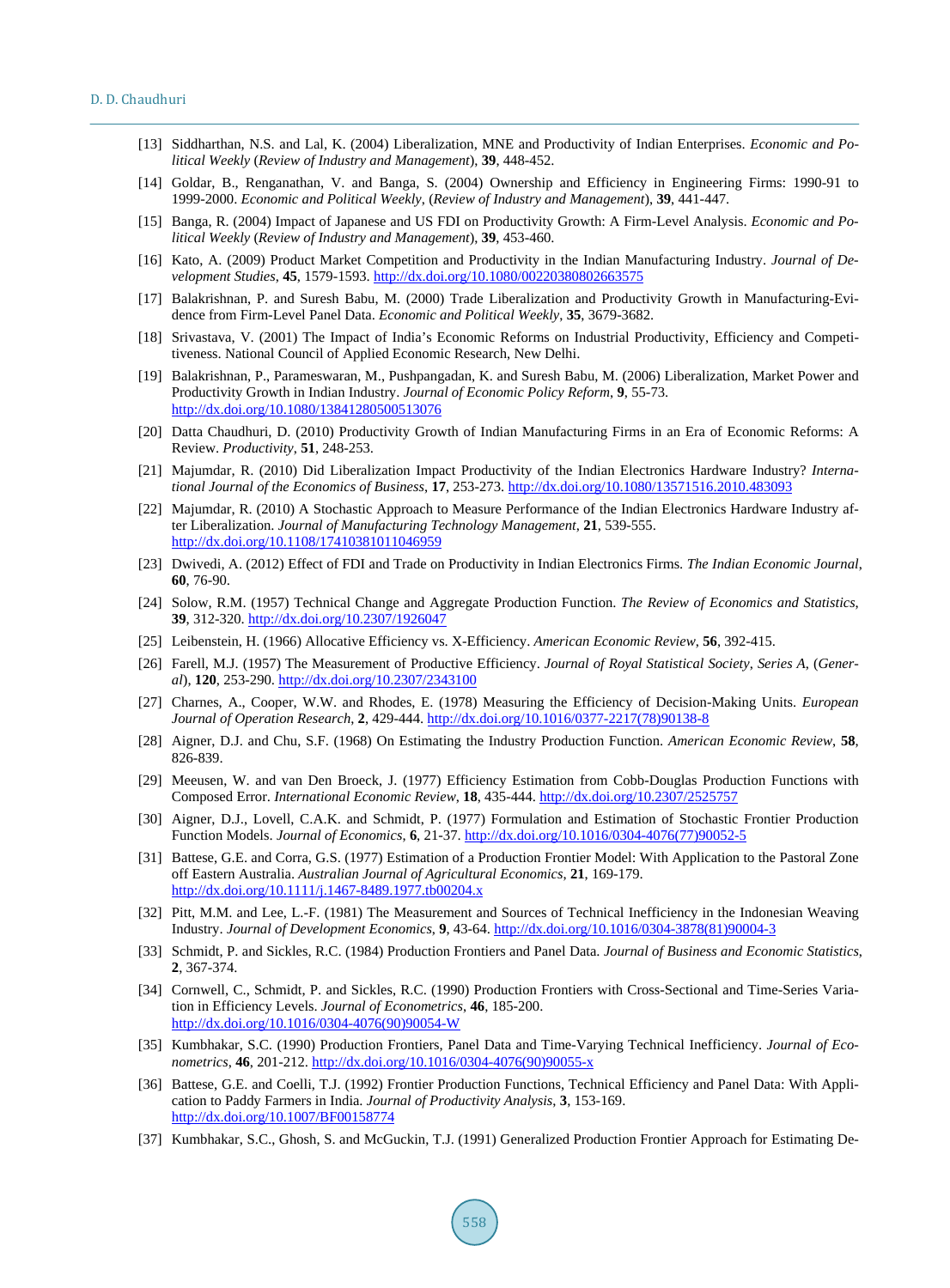- <span id="page-9-0"></span>[13] Siddharthan, N.S. and Lal, K. (2004) Liberalization, MNE and Productivity of Indian Enterprises. *Economic and Political Weekly* (*Review of Industry and Management*), **39**, 448-452.
- <span id="page-9-1"></span>[14] Goldar, B., Renganathan, V. and Banga, S. (2004) Ownership and Efficiency in Engineering Firms: 1990-91 to 1999-2000. *Economic and Political Weekly*, (*Review of Industry and Management*), **39**, 441-447.
- <span id="page-9-2"></span>[15] Banga, R. (2004) Impact of Japanese and US FDI on Productivity Growth: A Firm-Level Analysis. *Economic and Political Weekly* (*Review of Industry and Management*), **39**, 453-460.
- <span id="page-9-3"></span>[16] Kato, A. (2009) Product Market Competition and Productivity in the Indian Manufacturing Industry. *Journal of Development Studies*, **45**, 1579-1593. <http://dx.doi.org/10.1080/00220380802663575>
- <span id="page-9-4"></span>[17] Balakrishnan, P. and Suresh Babu, M. (2000) Trade Liberalization and Productivity Growth in Manufacturing-Evidence from Firm-Level Panel Data. *Economic and Political Weekly*, **35**, 3679-3682.
- <span id="page-9-5"></span>[18] Srivastava, V. (2001) The Impact of India's Economic Reforms on Industrial Productivity, Efficiency and Competitiveness. National Council of Applied Economic Research, New Delhi.
- <span id="page-9-6"></span>[19] Balakrishnan, P., Parameswaran, M., Pushpangadan, K. and Suresh Babu, M. (2006) Liberalization, Market Power and Productivity Growth in Indian Industry. *Journal of Economic Policy Reform*, **9**, 55-73. <http://dx.doi.org/10.1080/13841280500513076>
- <span id="page-9-7"></span>[20] Datta Chaudhuri, D. (2010) Productivity Growth of Indian Manufacturing Firms in an Era of Economic Reforms: A Review. *Productivity*, **51**, 248-253.
- <span id="page-9-8"></span>[21] Majumdar, R. (2010) Did Liberalization Impact Productivity of the Indian Electronics Hardware Industry? *International Journal of the Economics of Business*, **17**, 253-273. <http://dx.doi.org/10.1080/13571516.2010.483093>
- <span id="page-9-9"></span>[22] Majumdar, R. (2010) A Stochastic Approach to Measure Performance of the Indian Electronics Hardware Industry after Liberalization. *Journal of Manufacturing Technology Management*, **21**, 539-555. <http://dx.doi.org/10.1108/17410381011046959>
- <span id="page-9-10"></span>[23] Dwivedi, A. (2012) Effect of FDI and Trade on Productivity in Indian Electronics Firms. *The Indian Economic Journal*, **60**, 76-90.
- <span id="page-9-11"></span>[24] Solow, R.M. (1957) Technical Change and Aggregate Production Function. *The Review of Economics and Statistics*, **39**, 312-320. <http://dx.doi.org/10.2307/1926047>
- <span id="page-9-12"></span>[25] Leibenstein, H. (1966) Allocative Efficiency vs. X-Efficiency. *American Economic Review*, **56**, 392-415.
- <span id="page-9-13"></span>[26] Farell, M.J. (1957) The Measurement of Productive Efficiency. *Journal of Royal Statistical Society*, *Series A*, (*General*), **120**, 253-290[. http://dx.doi.org/10.2307/2343100](http://dx.doi.org/10.2307/2343100)
- <span id="page-9-14"></span>[27] Charnes, A., Cooper, W.W. and Rhodes, E. (1978) Measuring the Efficiency of Decision-Making Units. *European Journal of Operation Research*, **2**, 429-444. [http://dx.doi.org/10.1016/0377-2217\(78\)90138-8](http://dx.doi.org/10.1016/0377-2217(78)90138-8)
- <span id="page-9-15"></span>[28] Aigner, D.J. and Chu, S.F. (1968) On Estimating the Industry Production Function. *American Economic Review*, **58**, 826-839.
- <span id="page-9-16"></span>[29] Meeusen, W. and van Den Broeck, J. (1977) Efficiency Estimation from Cobb-Douglas Production Functions with Composed Error. *International Economic Review*, **18**, 435-444. <http://dx.doi.org/10.2307/2525757>
- <span id="page-9-17"></span>[30] Aigner, D.J., Lovell, C.A.K. and Schmidt, P. (1977) Formulation and Estimation of Stochastic Frontier Production Function Models. *Journal of Economics*, **6**, 21-37. [http://dx.doi.org/10.1016/0304-4076\(77\)90052-5](http://dx.doi.org/10.1016/0304-4076(77)90052-5)
- <span id="page-9-18"></span>[31] Battese, G.E. and Corra, G.S. (1977) Estimation of a Production Frontier Model: With Application to the Pastoral Zone off Eastern Australia. *Australian Journal of Agricultural Economics*, **21**, 169-179. <http://dx.doi.org/10.1111/j.1467-8489.1977.tb00204.x>
- <span id="page-9-19"></span>[32] Pitt, M.M. and Lee, L.-F. (1981) The Measurement and Sources of Technical Inefficiency in the Indonesian Weaving Industry. *Journal of Development Economics*, **9**, 43-64. [http://dx.doi.org/10.1016/0304-3878\(81\)90004-3](http://dx.doi.org/10.1016/0304-3878(81)90004-3)
- <span id="page-9-20"></span>[33] Schmidt, P. and Sickles, R.C. (1984) Production Frontiers and Panel Data. *Journal of Business and Economic Statistics*, **2**, 367-374.
- <span id="page-9-21"></span>[34] Cornwell, C., Schmidt, P. and Sickles, R.C. (1990) Production Frontiers with Cross-Sectional and Time-Series Variation in Efficiency Levels. *Journal of Econometrics*, **46**, 185-200. [http://dx.doi.org/10.1016/0304-4076\(90\)90054-W](http://dx.doi.org/10.1016/0304-4076(90)90054-W)
- <span id="page-9-22"></span>[35] Kumbhakar, S.C. (1990) Production Frontiers, Panel Data and Time-Varying Technical Inefficiency. *Journal of Econometrics*, **46**, 201-212. [http://dx.doi.org/10.1016/0304-4076\(90\)90055-x](http://dx.doi.org/10.1016/0304-4076(90)90055-x)
- <span id="page-9-23"></span>[36] Battese, G.E. and Coelli, T.J. (1992) Frontier Production Functions, Technical Efficiency and Panel Data: With Application to Paddy Farmers in India. *Journal of Productivity Analysis*, **3**, 153-169. <http://dx.doi.org/10.1007/BF00158774>
- <span id="page-9-24"></span>[37] Kumbhakar, S.C., Ghosh, S. and McGuckin, T.J. (1991) Generalized Production Frontier Approach for Estimating De-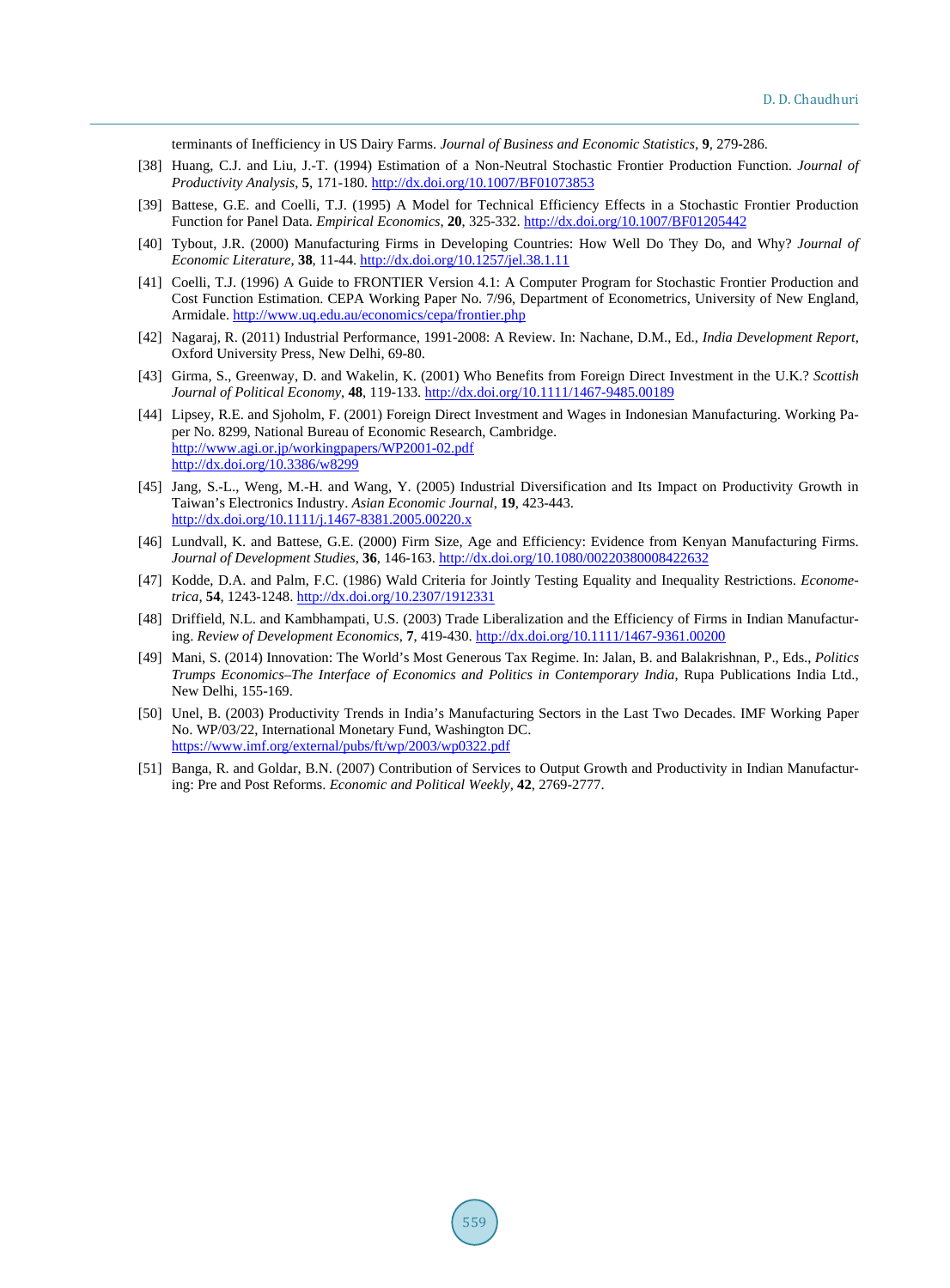terminants of Inefficiency in US Dairy Farms. *Journal of Business and Economic Statistics*, **9**, 279-286.

- <span id="page-10-0"></span>[38] Huang, C.J. and Liu, J.-T. (1994) Estimation of a Non-Neutral Stochastic Frontier Production Function. *Journal of Productivity Analysis*, **5**, 171-180. <http://dx.doi.org/10.1007/BF01073853>
- <span id="page-10-1"></span>[39] Battese, G.E. and Coelli, T.J. (1995) A Model for Technical Efficiency Effects in a Stochastic Frontier Production Function for Panel Data. *Empirical Economics*, **20**, 325-332. <http://dx.doi.org/10.1007/BF01205442>
- <span id="page-10-2"></span>[40] Tybout, J.R. (2000) Manufacturing Firms in Developing Countries: How Well Do They Do, and Why? *Journal of Economic Literature*, **38**, 11-44. <http://dx.doi.org/10.1257/jel.38.1.11>
- <span id="page-10-3"></span>[41] Coelli, T.J. (1996) A Guide to FRONTIER Version 4.1: A Computer Program for Stochastic Frontier Production and Cost Function Estimation. CEPA Working Paper No. 7/96, Department of Econometrics, University of New England, Armidale. <http://www.uq.edu.au/economics/cepa/frontier.php>
- <span id="page-10-4"></span>[42] Nagaraj, R. (2011) Industrial Performance, 1991-2008: A Review. In: Nachane, D.M., Ed., *India Development Report*, Oxford University Press, New Delhi, 69-80.
- <span id="page-10-5"></span>[43] Girma, S., Greenway, D. and Wakelin, K. (2001) Who Benefits from Foreign Direct Investment in the U.K.? *Scottish Journal of Political Economy*, **48**, 119-133[. http://dx.doi.org/10.1111/1467-9485.00189](http://dx.doi.org/10.1111/1467-9485.00189)
- <span id="page-10-6"></span>[44] Lipsey, R.E. and Sjoholm, F. (2001) Foreign Direct Investment and Wages in Indonesian Manufacturing. Working Paper No. 8299, National Bureau of Economic Research, Cambridge. <http://www.agi.or.jp/workingpapers/WP2001-02.pdf> <http://dx.doi.org/10.3386/w8299>
- <span id="page-10-7"></span>[45] Jang, S.-L., Weng, M.-H. and Wang, Y. (2005) Industrial Diversification and Its Impact on Productivity Growth in Taiwan's Electronics Industry. *Asian Economic Journal*, **19**, 423-443. <http://dx.doi.org/10.1111/j.1467-8381.2005.00220.x>
- <span id="page-10-8"></span>[46] Lundvall, K. and Battese, G.E. (2000) Firm Size, Age and Efficiency: Evidence from Kenyan Manufacturing Firms. *Journal of Development Studies*, **36**, 146-163. <http://dx.doi.org/10.1080/00220380008422632>
- <span id="page-10-9"></span>[47] Kodde, D.A. and Palm, F.C. (1986) Wald Criteria for Jointly Testing Equality and Inequality Restrictions. *Econometrica*, **54**, 1243-1248. <http://dx.doi.org/10.2307/1912331>
- <span id="page-10-10"></span>[48] Driffield, N.L. and Kambhampati, U.S. (2003) Trade Liberalization and the Efficiency of Firms in Indian Manufacturing. *Review of Development Economics*, **7**, 419-430. <http://dx.doi.org/10.1111/1467-9361.00200>
- <span id="page-10-11"></span>[49] Mani, S. (2014) Innovation: The World's Most Generous Tax Regime. In: Jalan, B. and Balakrishnan, P., Eds., *Politics Trumps Economics*–*The Interface of Economics and Politics in Contemporary India*, Rupa Publications India Ltd., New Delhi, 155-169.
- <span id="page-10-12"></span>[50] Unel, B. (2003) Productivity Trends in India's Manufacturing Sectors in the Last Two Decades. IMF Working Paper No. WP/03/22, International Monetary Fund, Washington DC. <https://www.imf.org/external/pubs/ft/wp/2003/wp0322.pdf>
- <span id="page-10-13"></span>[51] Banga, R. and Goldar, B.N. (2007) Contribution of Services to Output Growth and Productivity in Indian Manufacturing: Pre and Post Reforms. *Economic and Political Weekly*, **42**, 2769-2777.